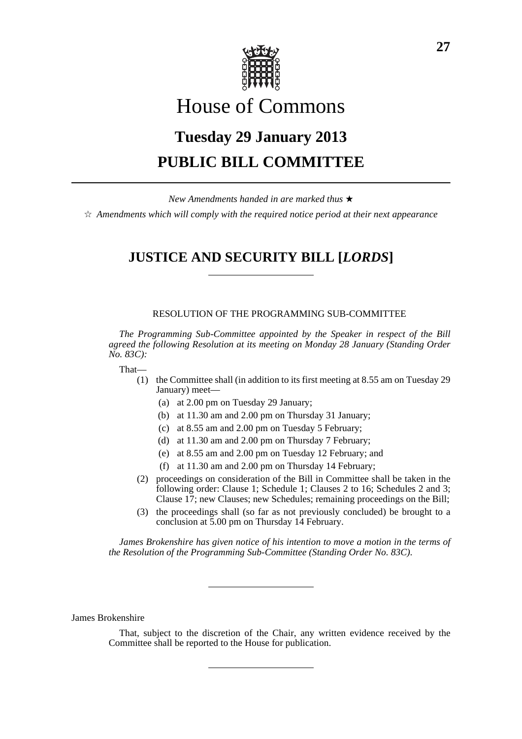

# House of Commons

# **Tuesday 29 January 2013 PUBLIC BILL COMMITTEE**

*New Amendments handed in are marked thus* \*

 $\dot{\varphi}$  *Amendments which will comply with the required notice period at their next appearance* 

# **JUSTICE AND SECURITY BILL [***LORDS***]**

## RESOLUTION OF THE PROGRAMMING SUB-COMMITTEE

*The Programming Sub-Committee appointed by the Speaker in respect of the Bill agreed the following Resolution at its meeting on Monday 28 January (Standing Order No. 83C):*

That—

- (1) the Committee shall (in addition to its first meeting at 8.55 am on Tuesday 29 January) meet—
	- (a) at 2.00 pm on Tuesday 29 January;
	- (b) at 11.30 am and 2.00 pm on Thursday 31 January;
	- (c) at 8.55 am and 2.00 pm on Tuesday 5 February;
	- (d) at 11.30 am and 2.00 pm on Thursday 7 February;
	- (e) at 8.55 am and 2.00 pm on Tuesday 12 February; and
	- (f) at 11.30 am and 2.00 pm on Thursday 14 February;
- (2) proceedings on consideration of the Bill in Committee shall be taken in the following order: Clause 1; Schedule 1; Clauses 2 to 16; Schedules 2 and 3; Clause 17; new Clauses; new Schedules; remaining proceedings on the Bill;
- (3) the proceedings shall (so far as not previously concluded) be brought to a conclusion at 5.00 pm on Thursday 14 February.

*James Brokenshire has given notice of his intention to move a motion in the terms of the Resolution of the Programming Sub-Committee (Standing Order No. 83C).*

James Brokenshire

That, subject to the discretion of the Chair, any written evidence received by the Committee shall be reported to the House for publication.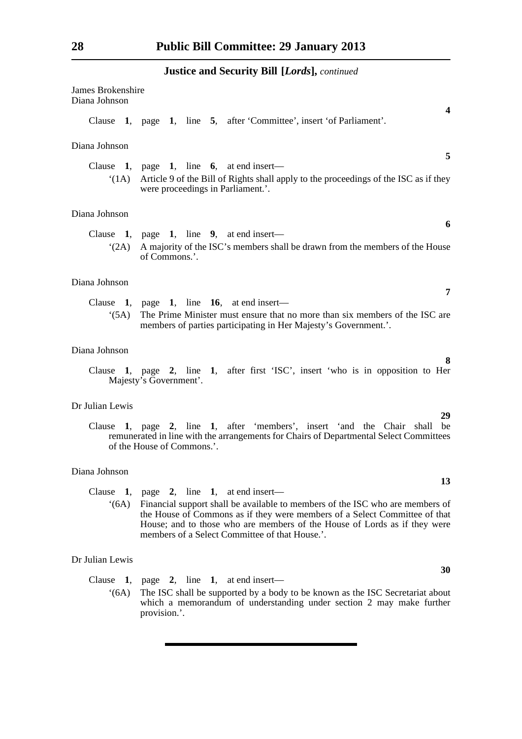| <b>James Brokenshire</b><br>Diana Johnson |                                                                                                                                                                                                                                                                                                                                       |
|-------------------------------------------|---------------------------------------------------------------------------------------------------------------------------------------------------------------------------------------------------------------------------------------------------------------------------------------------------------------------------------------|
|                                           | 4<br>Clause 1, page 1, line 5, after 'Committee', insert 'of Parliament'.                                                                                                                                                                                                                                                             |
| Diana Johnson                             |                                                                                                                                                                                                                                                                                                                                       |
|                                           | 5<br>Clause 1, page 1, line 6, at end insert—<br>(1A) Article 9 of the Bill of Rights shall apply to the proceedings of the ISC as if they<br>were proceedings in Parliament.'.                                                                                                                                                       |
| Diana Johnson                             |                                                                                                                                                                                                                                                                                                                                       |
|                                           | 6<br>Clause 1, page 1, line 9, at end insert—<br>'(2A) A majority of the ISC's members shall be drawn from the members of the House<br>of Commons.'.                                                                                                                                                                                  |
| Diana Johnson                             |                                                                                                                                                                                                                                                                                                                                       |
| (5A)                                      | 7<br>Clause 1, page 1, line 16, at end insert—<br>The Prime Minister must ensure that no more than six members of the ISC are<br>members of parties participating in Her Majesty's Government.'.                                                                                                                                      |
| Diana Johnson                             |                                                                                                                                                                                                                                                                                                                                       |
|                                           | 8<br>Clause 1, page 2, line 1, after first 'ISC', insert 'who is in opposition to Her<br>Majesty's Government'.                                                                                                                                                                                                                       |
| Dr Julian Lewis                           |                                                                                                                                                                                                                                                                                                                                       |
|                                           | 29<br>Clause 1, page 2, line 1, after 'members', insert 'and the Chair shall<br>be<br>remunerated in line with the arrangements for Chairs of Departmental Select Committees<br>of the House of Commons.'.                                                                                                                            |
| Diana Johnson                             |                                                                                                                                                                                                                                                                                                                                       |
| Clause<br>(6A)                            | 13<br>1, page 2, line 1, at end insert—<br>Financial support shall be available to members of the ISC who are members of<br>the House of Commons as if they were members of a Select Committee of that<br>House; and to those who are members of the House of Lords as if they were<br>members of a Select Committee of that House.'. |
| Dr Julian Lewis                           |                                                                                                                                                                                                                                                                                                                                       |
|                                           | 30<br>Clause 1, page 2, line 1, at end insert—                                                                                                                                                                                                                                                                                        |

'(6A) The ISC shall be supported by a body to be known as the ISC Secretariat about which a memorandum of understanding under section 2 may make further provision.'.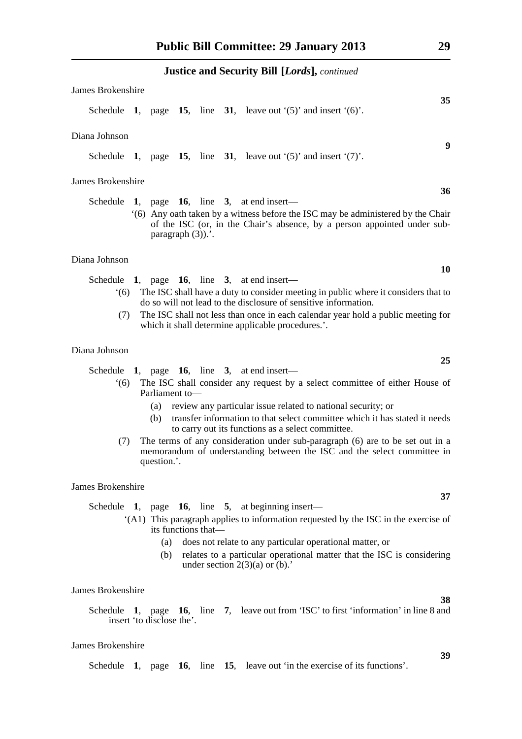| James Brokenshire |                           |                     |                                                                                                                                                             |
|-------------------|---------------------------|---------------------|-------------------------------------------------------------------------------------------------------------------------------------------------------------|
|                   |                           |                     | 35<br>Schedule 1, page 15, line 31, leave out $(5)$ and insert $(6)$ .                                                                                      |
| Diana Johnson     |                           |                     |                                                                                                                                                             |
|                   |                           |                     | 9<br>Schedule 1, page 15, line 31, leave out $(5)$ and insert $(7)$ .                                                                                       |
| James Brokenshire |                           |                     |                                                                                                                                                             |
|                   |                           |                     | 36<br>Schedule 1, page 16, line 3, at end insert—                                                                                                           |
|                   | paragraph $(3)$ ).'.      |                     | (6) Any oath taken by a witness before the ISC may be administered by the Chair<br>of the ISC (or, in the Chair's absence, by a person appointed under sub- |
| Diana Johnson     |                           |                     |                                                                                                                                                             |
|                   |                           |                     | 10<br>Schedule 1, page 16, line 3, at end insert—                                                                                                           |
| $^{\circ}$ (6)    |                           |                     | The ISC shall have a duty to consider meeting in public where it considers that to<br>do so will not lead to the disclosure of sensitive information.       |
| (7)               |                           |                     | The ISC shall not less than once in each calendar year hold a public meeting for                                                                            |
|                   |                           |                     | which it shall determine applicable procedures.'.                                                                                                           |
| Diana Johnson     |                           |                     | 25                                                                                                                                                          |
|                   |                           |                     | Schedule 1, page 16, line 3, at end insert—                                                                                                                 |
| (6)               | Parliament to-            |                     | The ISC shall consider any request by a select committee of either House of                                                                                 |
|                   | (a)                       |                     | review any particular issue related to national security; or                                                                                                |
|                   | (b)                       |                     | transfer information to that select committee which it has stated it needs<br>to carry out its functions as a select committee.                             |
| (7)               | question.'.               |                     | The terms of any consideration under sub-paragraph (6) are to be set out in a<br>memorandum of understanding between the ISC and the select committee in    |
| James Brokenshire |                           |                     |                                                                                                                                                             |
| Schedule 1,       |                           |                     | 37<br>page 16, line 5, at beginning insert—                                                                                                                 |
|                   |                           | its functions that- | "(A1) This paragraph applies to information requested by the ISC in the exercise of                                                                         |
|                   | (a)                       |                     | does not relate to any particular operational matter, or                                                                                                    |
|                   | (b)                       |                     | relates to a particular operational matter that the ISC is considering<br>under section $2(3)(a)$ or (b).                                                   |
| James Brokenshire |                           |                     |                                                                                                                                                             |
|                   | insert 'to disclose the'. |                     | 38<br>Schedule 1, page 16, line 7, leave out from 'ISC' to first 'information' in line 8 and                                                                |
| James Brokenshire |                           |                     |                                                                                                                                                             |

Schedule **1**, page **16**, line **15**, leave out 'in the exercise of its functions'.

**39**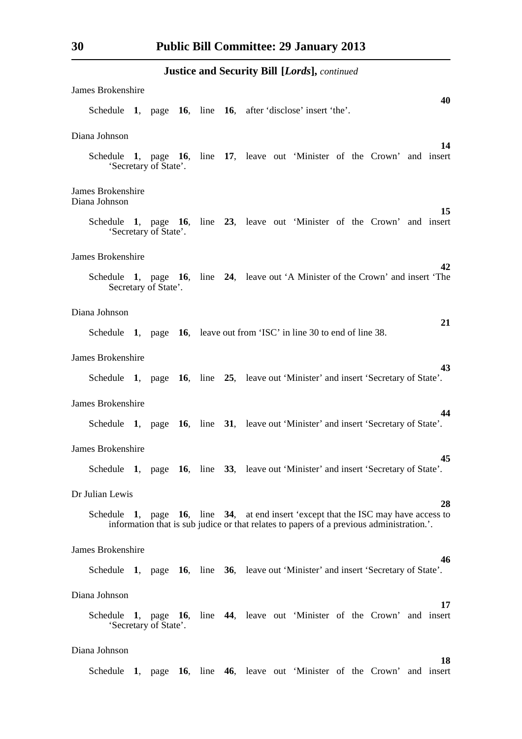| James Brokenshire                                                                                         |  |  |  |  |  |                                                                                       |    |
|-----------------------------------------------------------------------------------------------------------|--|--|--|--|--|---------------------------------------------------------------------------------------|----|
| Schedule 1, page 16, line 16, after disclose insert 'the'.                                                |  |  |  |  |  |                                                                                       | 40 |
| Diana Johnson                                                                                             |  |  |  |  |  |                                                                                       |    |
| Schedule 1, page 16, line 17, leave out 'Minister of the Crown' and insert<br>'Secretary of State'.       |  |  |  |  |  |                                                                                       | 14 |
| James Brokenshire<br>Diana Johnson                                                                        |  |  |  |  |  |                                                                                       |    |
| Schedule 1, page 16, line 23, leave out 'Minister of the Crown' and insert<br>'Secretary of State'.       |  |  |  |  |  |                                                                                       | 15 |
| James Brokenshire                                                                                         |  |  |  |  |  |                                                                                       | 42 |
| Schedule 1, page 16, line 24, leave out 'A Minister of the Crown' and insert 'The<br>Secretary of State'. |  |  |  |  |  |                                                                                       |    |
| Diana Johnson                                                                                             |  |  |  |  |  |                                                                                       |    |
| Schedule 1, page 16, leave out from 'ISC' in line 30 to end of line 38.                                   |  |  |  |  |  |                                                                                       | 21 |
| James Brokenshire                                                                                         |  |  |  |  |  |                                                                                       |    |
| Schedule 1, page 16, line 25, leave out 'Minister' and insert 'Secretary of State'.                       |  |  |  |  |  |                                                                                       | 43 |
| <b>James Brokenshire</b>                                                                                  |  |  |  |  |  |                                                                                       |    |
| Schedule 1, page 16, line 31, leave out 'Minister' and insert 'Secretary of State'.                       |  |  |  |  |  |                                                                                       | 44 |
| James Brokenshire                                                                                         |  |  |  |  |  |                                                                                       |    |
| Schedule 1, page 16, line 33, leave out 'Minister' and insert 'Secretary of State'.                       |  |  |  |  |  |                                                                                       | 45 |
| Dr Julian Lewis                                                                                           |  |  |  |  |  |                                                                                       |    |
| Schedule 1, page 16, line 34, at end insert 'except that the ISC may have access to                       |  |  |  |  |  | information that is sub judice or that relates to papers of a previous administration | 28 |
| <b>James Brokenshire</b>                                                                                  |  |  |  |  |  |                                                                                       |    |
| Schedule 1, page 16, line 36, leave out 'Minister' and insert 'Secretary of State'.                       |  |  |  |  |  |                                                                                       | 46 |
| Diana Johnson                                                                                             |  |  |  |  |  |                                                                                       |    |
| Schedule 1, page 16, line 44, leave out 'Minister of the Crown' and insert<br>'Secretary of State'.       |  |  |  |  |  |                                                                                       | 17 |
| Diana Johnson                                                                                             |  |  |  |  |  |                                                                                       |    |
| Schedule 1, page 16, line 46, leave out 'Minister of the Crown' and insert                                |  |  |  |  |  |                                                                                       | 18 |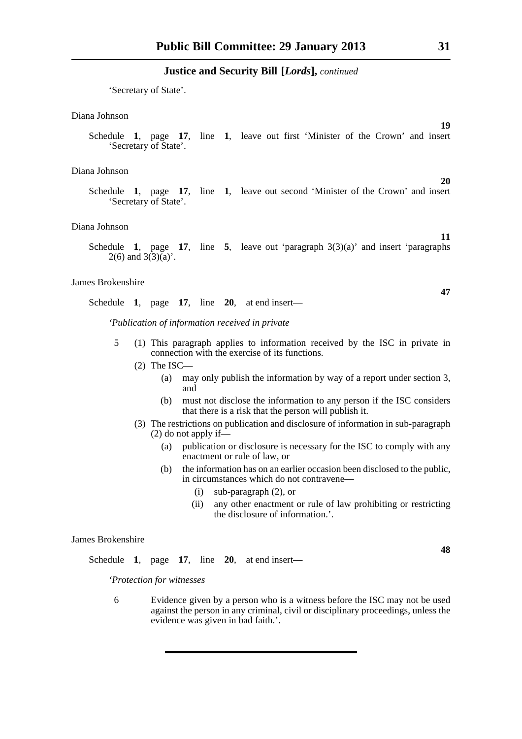'Secretary of State'.

#### Diana Johnson

Schedule **1**, page **17**, line **1**, leave out first 'Minister of the Crown' and insert 'Secretary of State'.

#### Diana Johnson

Schedule **1**, page **17**, line **1**, leave out second 'Minister of the Crown' and insert 'Secretary of State'.

#### Diana Johnson

Schedule **1**, page **17**, line **5**, leave out 'paragraph 3(3)(a)' and insert 'paragraphs  $2(6)$  and  $3(3)(a)$ .

#### James Brokenshire

Schedule **1**, page **17**, line **20**, at end insert—

*'Publication of information received in private*

- 5 (1) This paragraph applies to information received by the ISC in private in connection with the exercise of its functions.
	- (2) The ISC—
		- (a) may only publish the information by way of a report under section 3, and
		- (b) must not disclose the information to any person if the ISC considers that there is a risk that the person will publish it.
	- (3) The restrictions on publication and disclosure of information in sub-paragraph (2) do not apply if—
		- (a) publication or disclosure is necessary for the ISC to comply with any enactment or rule of law, or
		- (b) the information has on an earlier occasion been disclosed to the public, in circumstances which do not contravene—
			- (i) sub-paragraph (2), or
			- (ii) any other enactment or rule of law prohibiting or restricting the disclosure of information.'.

#### James Brokenshire

Schedule **1**, page **17**, line **20**, at end insert—

*'Protection for witnesses*

6 Evidence given by a person who is a witness before the ISC may not be used against the person in any criminal, civil or disciplinary proceedings, unless the evidence was given in bad faith.'.

**20**

**19**

**11**

**47**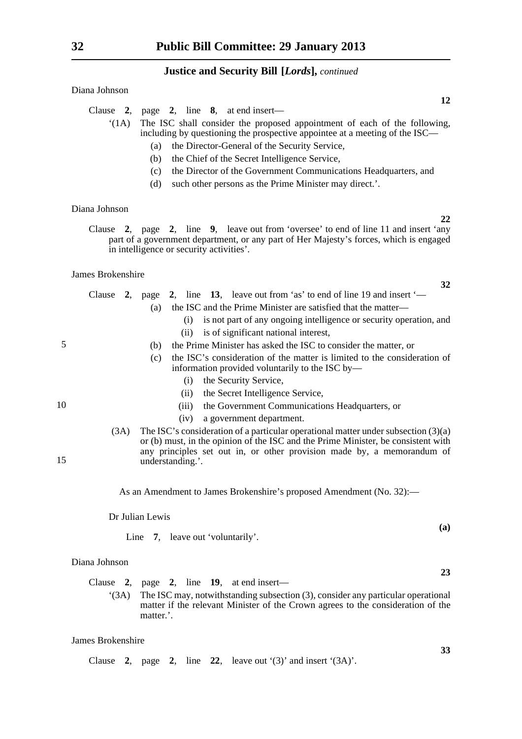Diana Johnson

| Clause 2, page 2, line 8, at end insert—                                        |
|---------------------------------------------------------------------------------|
| '(1A) The ISC shall consider the proposed appointment of each of the following, |
| including by questioning the prospective appointee at a meeting of the ISC—     |
| the Director-General of the Security Service,<br>(a)                            |

- (b) the Chief of the Secret Intelligence Service,
- (c) the Director of the Government Communications Headquarters, and
- (d) such other persons as the Prime Minister may direct.'.

#### Diana Johnson

Clause **2**, page **2**, line **9**, leave out from 'oversee' to end of line 11 and insert 'any part of a government department, or any part of Her Majesty's forces, which is engaged in intelligence or security activities'.

### James Brokenshire

5

10

15

|  |     |  | Clause 2, page 2, line 13, leave out from 'as' to end of line 19 and insert $\leftharpoonup$ |
|--|-----|--|----------------------------------------------------------------------------------------------|
|  | (a) |  | the ISC and the Prime Minister are satisfied that the matter—                                |
|  |     |  | (i) is not part of any ongoing intelligence or security operation, and                       |
|  |     |  | (ii) is of significant national interest,                                                    |
|  |     |  |                                                                                              |

- (b) the Prime Minister has asked the ISC to consider the matter, or
- (c) the ISC's consideration of the matter is limited to the consideration of information provided voluntarily to the ISC by—
	- (i) the Security Service,
	- (ii) the Secret Intelligence Service,
	- (iii) the Government Communications Headquarters, or
	- (iv) a government department.
- (3A) The ISC's consideration of a particular operational matter under subsection (3)(a) or (b) must, in the opinion of the ISC and the Prime Minister, be consistent with any principles set out in, or other provision made by, a memorandum of understanding.'.

As an Amendment to James Brokenshire's proposed Amendment (No. 32):—

Dr Julian Lewis

Line 7, leave out 'voluntarily'.

#### Diana Johnson

Clause **2**, page **2**, line **19**, at end insert—

'(3A) The ISC may, notwithstanding subsection (3), consider any particular operational matter if the relevant Minister of the Crown agrees to the consideration of the matter.'.

#### James Brokenshire

Clause **2**, page **2**, line **22**, leave out '(3)' and insert '(3A)'.

**12**

**22**

**32**

**23**

**33**

**(a)**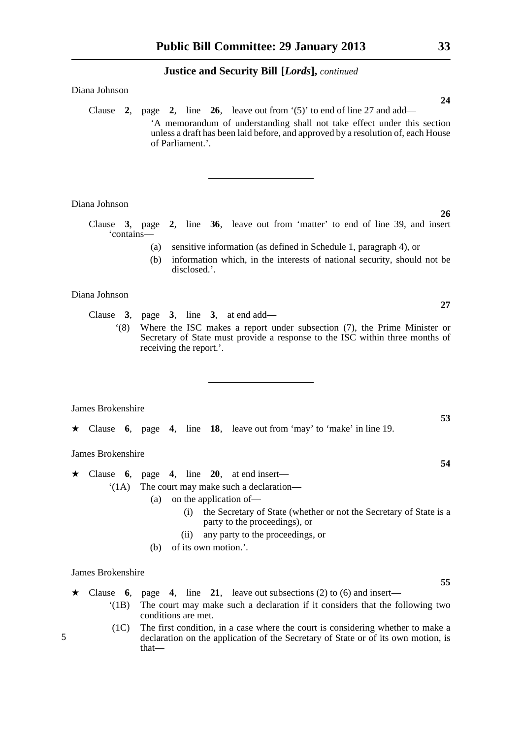#### Diana Johnson

Clause **2**, page **2**, line **26**, leave out from '(5)' to end of line 27 and add— 'A memorandum of understanding shall not take effect under this section unless a draft has been laid before, and approved by a resolution of, each House of Parliament.'.

Diana Johnson

Clause **3**, page **2**, line **36**, leave out from 'matter' to end of line 39, and insert 'contains—

- (a) sensitive information (as defined in Schedule 1, paragraph 4), or
- (b) information which, in the interests of national security, should not be disclosed.'.

Diana Johnson

Clause **3**, page **3**, line **3**, at end add—

'(8) Where the ISC makes a report under subsection (7), the Prime Minister or Secretary of State must provide a response to the ISC within three months of receiving the report.'.

James Brokenshire

\* Clause **6**, page **4**, line **18**, leave out from 'may' to 'make' in line 19.

James Brokenshire

 $\star$  Clause 6, page 4, line 20, at end insert—

'(1A) The court may make such a declaration—

(a) on the application of—

- (i) the Secretary of State (whether or not the Secretary of State is a party to the proceedings), or
- (ii) any party to the proceedings, or
- (b) of its own motion.'.

James Brokenshire

 $\star$  Clause **6**, page **4**, line **21**, leave out subsections (2) to (6) and insert—

- '(1B) The court may make such a declaration if it considers that the following two conditions are met.
- (1C) The first condition, in a case where the court is considering whether to make a declaration on the application of the Secretary of State or of its own motion, is that—

**24**

**26**

**27**

**53**

**54**

**55**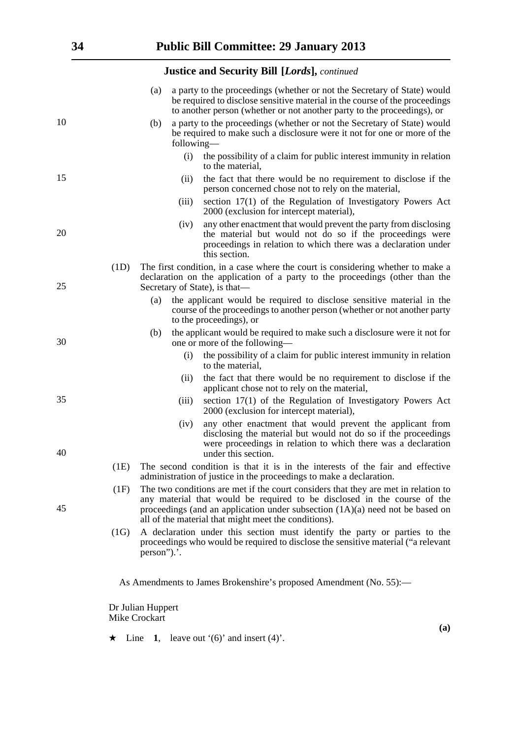|    |      | (a)                                |            | a party to the proceedings (whether or not the Secretary of State) would<br>be required to disclose sensitive material in the course of the proceedings<br>to another person (whether or not another party to the proceedings), or                                                                        |
|----|------|------------------------------------|------------|-----------------------------------------------------------------------------------------------------------------------------------------------------------------------------------------------------------------------------------------------------------------------------------------------------------|
| 10 |      | (b)                                | following— | a party to the proceedings (whether or not the Secretary of State) would<br>be required to make such a disclosure were it not for one or more of the                                                                                                                                                      |
|    |      |                                    | (i)        | the possibility of a claim for public interest immunity in relation<br>to the material,                                                                                                                                                                                                                   |
| 15 |      |                                    | (ii)       | the fact that there would be no requirement to disclose if the<br>person concerned chose not to rely on the material,                                                                                                                                                                                     |
|    |      |                                    | (iii)      | section 17(1) of the Regulation of Investigatory Powers Act<br>2000 (exclusion for intercept material),                                                                                                                                                                                                   |
| 20 |      |                                    | (iv)       | any other enactment that would prevent the party from disclosing<br>the material but would not do so if the proceedings were<br>proceedings in relation to which there was a declaration under<br>this section.                                                                                           |
| 25 | (1D) |                                    |            | The first condition, in a case where the court is considering whether to make a<br>declaration on the application of a party to the proceedings (other than the<br>Secretary of State), is that—                                                                                                          |
|    |      | (a)                                |            | the applicant would be required to disclose sensitive material in the<br>course of the proceedings to another person (whether or not another party<br>to the proceedings), or                                                                                                                             |
| 30 |      | (b)                                |            | the applicant would be required to make such a disclosure were it not for<br>one or more of the following—                                                                                                                                                                                                |
|    |      |                                    | (i)        | the possibility of a claim for public interest immunity in relation<br>to the material,                                                                                                                                                                                                                   |
|    |      |                                    | (ii)       | the fact that there would be no requirement to disclose if the<br>applicant chose not to rely on the material,                                                                                                                                                                                            |
| 35 |      |                                    | (iii)      | section 17(1) of the Regulation of Investigatory Powers Act<br>2000 (exclusion for intercept material),                                                                                                                                                                                                   |
| 40 |      |                                    | (iv)       | any other enactment that would prevent the applicant from<br>disclosing the material but would not do so if the proceedings<br>were proceedings in relation to which there was a declaration                                                                                                              |
|    | (1E) |                                    |            | under this section.<br>The second condition is that it is in the interests of the fair and effective                                                                                                                                                                                                      |
|    |      |                                    |            | administration of justice in the proceedings to make a declaration.                                                                                                                                                                                                                                       |
| 45 | (1F) |                                    |            | The two conditions are met if the court considers that they are met in relation to<br>any material that would be required to be disclosed in the course of the<br>proceedings (and an application under subsection $(1A)(a)$ need not be based on<br>all of the material that might meet the conditions). |
|    | (1G) | person").'.                        |            | A declaration under this section must identify the party or parties to the<br>proceedings who would be required to disclose the sensitive material ("a relevant                                                                                                                                           |
|    |      |                                    |            | As Amendments to James Brokenshire's proposed Amendment (No. 55):-                                                                                                                                                                                                                                        |
|    |      | Dr Julian Huppert<br>Mike Crockart |            |                                                                                                                                                                                                                                                                                                           |

 $\star$  Line 1, leave out '(6)' and insert (4)'.

**(a)**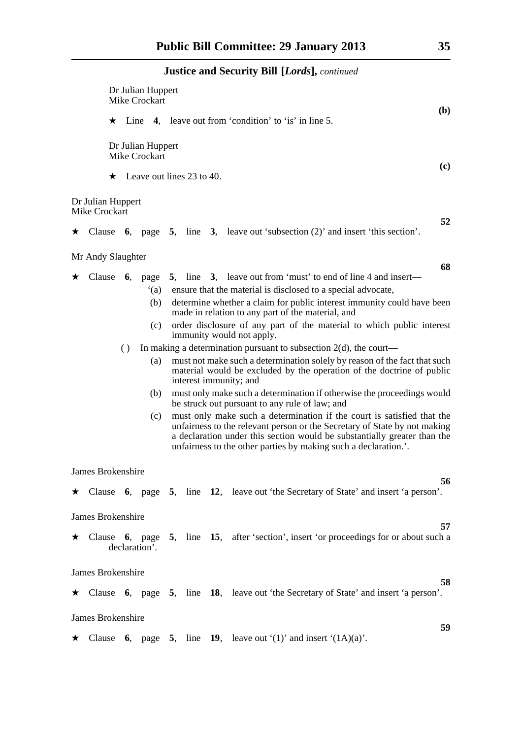|         |                                           | Dr Julian Huppert<br>Mike Crockart<br>( <b>b</b> ) |                  |                           |                                                                                                                                                                                                                                                                                                 |                                                               |  |                                                                                                                                                                              |  |  |  |  |  |
|---------|-------------------------------------------|----------------------------------------------------|------------------|---------------------------|-------------------------------------------------------------------------------------------------------------------------------------------------------------------------------------------------------------------------------------------------------------------------------------------------|---------------------------------------------------------------|--|------------------------------------------------------------------------------------------------------------------------------------------------------------------------------|--|--|--|--|--|
|         |                                           |                                                    |                  |                           |                                                                                                                                                                                                                                                                                                 | $\star$ Line 4, leave out from 'condition' to 'is' in line 5. |  |                                                                                                                                                                              |  |  |  |  |  |
|         |                                           | Dr Julian Huppert<br>Mike Crockart<br>(c)          |                  |                           |                                                                                                                                                                                                                                                                                                 |                                                               |  |                                                                                                                                                                              |  |  |  |  |  |
|         |                                           | $\star$                                            |                  | Leave out lines 23 to 40. |                                                                                                                                                                                                                                                                                                 |                                                               |  |                                                                                                                                                                              |  |  |  |  |  |
|         | Dr Julian Huppert<br><b>Mike Crockart</b> |                                                    |                  |                           |                                                                                                                                                                                                                                                                                                 |                                                               |  |                                                                                                                                                                              |  |  |  |  |  |
| $\star$ | Clause                                    |                                                    |                  |                           |                                                                                                                                                                                                                                                                                                 |                                                               |  | 52<br>6, page 5, line 3, leave out 'subsection $(2)$ ' and insert 'this section'.                                                                                            |  |  |  |  |  |
|         | Mr Andy Slaughter                         |                                                    |                  |                           |                                                                                                                                                                                                                                                                                                 |                                                               |  |                                                                                                                                                                              |  |  |  |  |  |
|         |                                           |                                                    |                  |                           |                                                                                                                                                                                                                                                                                                 |                                                               |  | 68                                                                                                                                                                           |  |  |  |  |  |
| ★       | Clause                                    |                                                    |                  |                           |                                                                                                                                                                                                                                                                                                 |                                                               |  | 6, page 5, line 3, leave out from 'must' to end of line 4 and insert—                                                                                                        |  |  |  |  |  |
|         |                                           |                                                    |                  | (a)                       |                                                                                                                                                                                                                                                                                                 |                                                               |  | ensure that the material is disclosed to a special advocate,                                                                                                                 |  |  |  |  |  |
|         |                                           |                                                    |                  | (b)                       |                                                                                                                                                                                                                                                                                                 |                                                               |  | determine whether a claim for public interest immunity could have been<br>made in relation to any part of the material, and                                                  |  |  |  |  |  |
|         |                                           |                                                    |                  | (c)                       |                                                                                                                                                                                                                                                                                                 |                                                               |  | order disclosure of any part of the material to which public interest<br>immunity would not apply.                                                                           |  |  |  |  |  |
|         |                                           |                                                    | $\left( \right)$ |                           |                                                                                                                                                                                                                                                                                                 |                                                               |  | In making a determination pursuant to subsection $2(d)$ , the court—                                                                                                         |  |  |  |  |  |
|         |                                           |                                                    |                  | (a)                       |                                                                                                                                                                                                                                                                                                 |                                                               |  | must not make such a determination solely by reason of the fact that such<br>material would be excluded by the operation of the doctrine of public<br>interest immunity; and |  |  |  |  |  |
|         |                                           |                                                    |                  | (b)                       |                                                                                                                                                                                                                                                                                                 |                                                               |  | must only make such a determination if otherwise the proceedings would<br>be struck out pursuant to any rule of law; and                                                     |  |  |  |  |  |
|         |                                           |                                                    |                  | (c)                       | must only make such a determination if the court is satisfied that the<br>unfairness to the relevant person or the Secretary of State by not making<br>a declaration under this section would be substantially greater than the<br>unfairness to the other parties by making such a declaration |                                                               |  |                                                                                                                                                                              |  |  |  |  |  |
|         | James Brokenshire                         |                                                    |                  |                           |                                                                                                                                                                                                                                                                                                 |                                                               |  |                                                                                                                                                                              |  |  |  |  |  |
|         |                                           |                                                    |                  |                           |                                                                                                                                                                                                                                                                                                 |                                                               |  | 56<br>$\star$ Clause 6, page 5, line 12, leave out 'the Secretary of State' and insert 'a person'.                                                                           |  |  |  |  |  |
|         | James Brokenshire                         |                                                    |                  |                           |                                                                                                                                                                                                                                                                                                 |                                                               |  |                                                                                                                                                                              |  |  |  |  |  |
|         | $\star$ Clause                            |                                                    |                  | declaration'.             |                                                                                                                                                                                                                                                                                                 |                                                               |  | 57<br>6, page 5, line 15, after 'section', insert 'or proceedings for or about such a                                                                                        |  |  |  |  |  |
|         | James Brokenshire                         |                                                    |                  |                           |                                                                                                                                                                                                                                                                                                 |                                                               |  |                                                                                                                                                                              |  |  |  |  |  |
|         |                                           |                                                    |                  |                           |                                                                                                                                                                                                                                                                                                 |                                                               |  | 58<br>$\star$ Clause 6, page 5, line 18, leave out 'the Secretary of State' and insert 'a person'.                                                                           |  |  |  |  |  |
|         | James Brokenshire                         |                                                    |                  |                           |                                                                                                                                                                                                                                                                                                 |                                                               |  |                                                                                                                                                                              |  |  |  |  |  |
|         |                                           |                                                    |                  |                           |                                                                                                                                                                                                                                                                                                 |                                                               |  | 59<br>$\star$ Clause 6, page 5, line 19, leave out '(1)' and insert '(1A)(a)'.                                                                                               |  |  |  |  |  |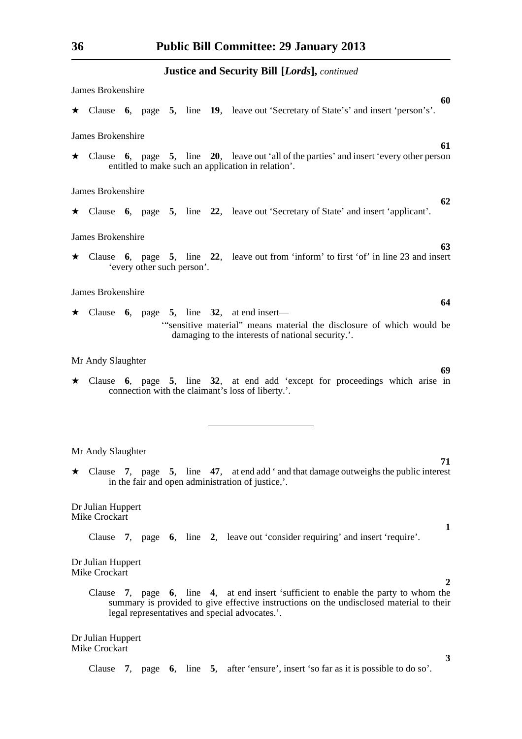James Brokenshire **60** \* Clause **6**, page **5**, line **19**, leave out 'Secretary of State's' and insert 'person's'. James Brokenshire \* Clause **6**, page **5**, line **20**, leave out 'all of the parties' and insert 'every other person entitled to make such an application in relation'. James Brokenshire **62** \* Clause **6**, page **5**, line **22**, leave out 'Secretary of State' and insert 'applicant'. James Brokenshire **63** \* Clause **6**, page **5**, line **22**, leave out from 'inform' to first 'of' in line 23 and insert 'every other such person'. James Brokenshire  $\star$  Clause 6, page 5, line 32, at end insert— '"sensitive material" means material the disclosure of which would be damaging to the interests of national security.'.

Mr Andy Slaughter

\* Clause **6**, page **5**, line **32**, at end add 'except for proceedings which arise in connection with the claimant's loss of liberty.'.

Mr Andy Slaughter

 $\star$  Clause 7, page 5, line 47, at end add ' and that damage outweighs the public interest in the fair and open administration of justice,'.

Dr Julian Huppert Mike Crockart

Clause **7**, page **6**, line **2**, leave out 'consider requiring' and insert 'require'.

Dr Julian Huppert Mike Crockart

> Clause **7**, page **6**, line **4**, at end insert 'sufficient to enable the party to whom the summary is provided to give effective instructions on the undisclosed material to their legal representatives and special advocates.'.

Dr Julian Huppert Mike Crockart

Clause **7**, page **6**, line **5**, after 'ensure', insert 'so far as it is possible to do so'.

- **61**
- 

**64**

**69**

**71**

**2**

**3**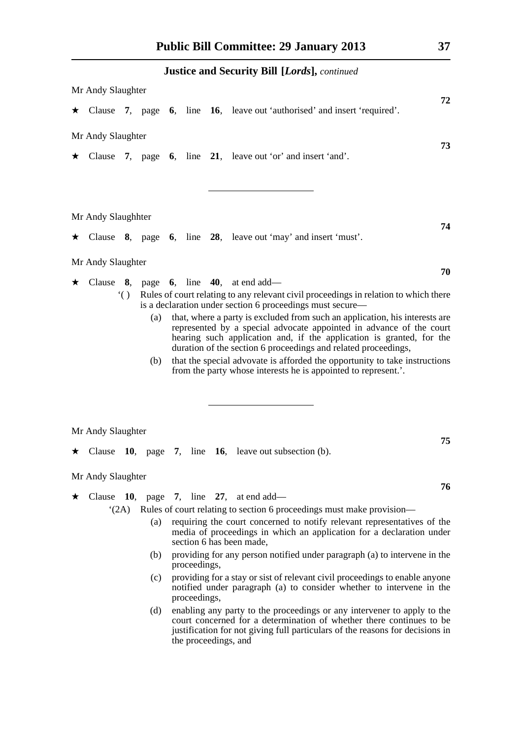|   |                    |                      |            |  | <b>Justice and Security Bill [Lords], continued</b>                                                                                                                                                                                                                                                                                                                                                                                          |
|---|--------------------|----------------------|------------|--|----------------------------------------------------------------------------------------------------------------------------------------------------------------------------------------------------------------------------------------------------------------------------------------------------------------------------------------------------------------------------------------------------------------------------------------------|
|   | Mr Andy Slaughter  |                      |            |  |                                                                                                                                                                                                                                                                                                                                                                                                                                              |
|   |                    |                      |            |  | 72<br>$\star$ Clause 7, page 6, line 16, leave out 'authorised' and insert 'required'.                                                                                                                                                                                                                                                                                                                                                       |
|   | Mr Andy Slaughter  |                      |            |  |                                                                                                                                                                                                                                                                                                                                                                                                                                              |
|   |                    |                      |            |  | 73<br>$\star$ Clause 7, page 6, line 21, leave out 'or' and insert 'and'.                                                                                                                                                                                                                                                                                                                                                                    |
|   | Mr Andy Slaughhter |                      |            |  | 74                                                                                                                                                                                                                                                                                                                                                                                                                                           |
|   |                    |                      |            |  | $\star$ Clause 8, page 6, line 28, leave out 'may' and insert 'must'.                                                                                                                                                                                                                                                                                                                                                                        |
|   | Mr Andy Slaughter  |                      |            |  | 70                                                                                                                                                                                                                                                                                                                                                                                                                                           |
| ★ |                    |                      |            |  | Clause 8, page 6, line 40, at end add—                                                                                                                                                                                                                                                                                                                                                                                                       |
|   |                    | $\ddot{\phantom{0}}$ |            |  | Rules of court relating to any relevant civil proceedings in relation to which there<br>is a declaration under section 6 proceedings must secure—                                                                                                                                                                                                                                                                                            |
|   |                    |                      | (a)<br>(b) |  | that, where a party is excluded from such an application, his interests are<br>represented by a special advocate appointed in advance of the court<br>hearing such application and, if the application is granted, for the<br>duration of the section 6 proceedings and related proceedings,<br>that the special advovate is afforded the opportunity to take instructions<br>from the party whose interests he is appointed to represent.'. |
|   |                    |                      |            |  |                                                                                                                                                                                                                                                                                                                                                                                                                                              |
|   |                    |                      |            |  |                                                                                                                                                                                                                                                                                                                                                                                                                                              |
|   | Mr Andy Slaughter  |                      |            |  |                                                                                                                                                                                                                                                                                                                                                                                                                                              |
|   |                    |                      |            |  | 75<br>$\star$ Clause 10, page 7, line 16, leave out subsection (b).                                                                                                                                                                                                                                                                                                                                                                          |
|   | Mr Andy Slaughter  |                      |            |  |                                                                                                                                                                                                                                                                                                                                                                                                                                              |
|   | Clause $10$ ,      |                      |            |  | 76<br>page $7$ , line 27, at end add—                                                                                                                                                                                                                                                                                                                                                                                                        |
|   |                    | (2A)                 |            |  | Rules of court relating to section 6 proceedings must make provision—                                                                                                                                                                                                                                                                                                                                                                        |
|   |                    |                      | (a)        |  | requiring the court concerned to notify relevant representatives of the<br>media of proceedings in which an application for a declaration under<br>section 6 has been made,                                                                                                                                                                                                                                                                  |

- (b) providing for any person notified under paragraph (a) to intervene in the proceedings,
- (c) providing for a stay or sist of relevant civil proceedings to enable anyone notified under paragraph (a) to consider whether to intervene in the proceedings,
- (d) enabling any party to the proceedings or any intervener to apply to the court concerned for a determination of whether there continues to be justification for not giving full particulars of the reasons for decisions in the proceedings, and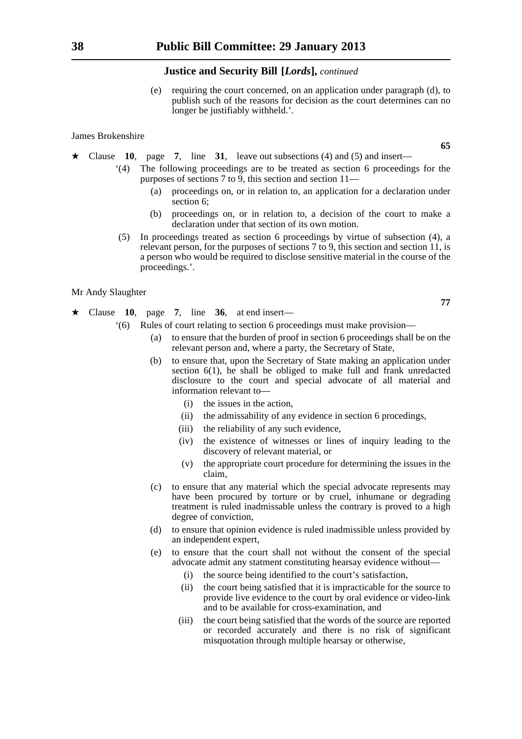(e) requiring the court concerned, on an application under paragraph (d), to publish such of the reasons for decision as the court determines can no longer be justifiably withheld.'.

#### James Brokenshire

- \* Clause **10**, page **7**, line **31**, leave out subsections (4) and (5) and insert—
	- '(4) The following proceedings are to be treated as section 6 proceedings for the purposes of sections 7 to 9, this section and section 11—
		- (a) proceedings on, or in relation to, an application for a declaration under section 6;
		- (b) proceedings on, or in relation to, a decision of the court to make a declaration under that section of its own motion.
	- (5) In proceedings treated as section 6 proceedings by virtue of subsection (4), a relevant person, for the purposes of sections 7 to 9, this section and section 11, is a person who would be required to disclose sensitive material in the course of the proceedings.'.

Mr Andy Slaughter

- $\star$  Clause 10, page 7, line 36, at end insert—
	- '(6) Rules of court relating to section 6 proceedings must make provision—
		- (a) to ensure that the burden of proof in section 6 proceedings shall be on the relevant person and, where a party, the Secretary of State,
		- (b) to ensure that, upon the Secretary of State making an application under section 6(1), he shall be obliged to make full and frank unredacted disclosure to the court and special advocate of all material and information relevant to—
			- (i) the issues in the action,
			- (ii) the admissability of any evidence in section 6 procedings,
			- (iii) the reliability of any such evidence,
			- (iv) the existence of witnesses or lines of inquiry leading to the discovery of relevant material, or
			- (v) the appropriate court procedure for determining the issues in the claim,
		- (c) to ensure that any material which the special advocate represents may have been procured by torture or by cruel, inhumane or degrading treatment is ruled inadmissable unless the contrary is proved to a high degree of conviction,
		- (d) to ensure that opinion evidence is ruled inadmissible unless provided by an independent expert,
		- (e) to ensure that the court shall not without the consent of the special advocate admit any statment constituting hearsay evidence without—
			- (i) the source being identified to the court's satisfaction,
			- (ii) the court being satisfied that it is impracticable for the source to provide live evidence to the court by oral evidence or video-link and to be available for cross-examination, and
			- (iii) the court being satisfied that the words of the source are reported or recorded accurately and there is no risk of significant misquotation through multiple hearsay or otherwise,

**65**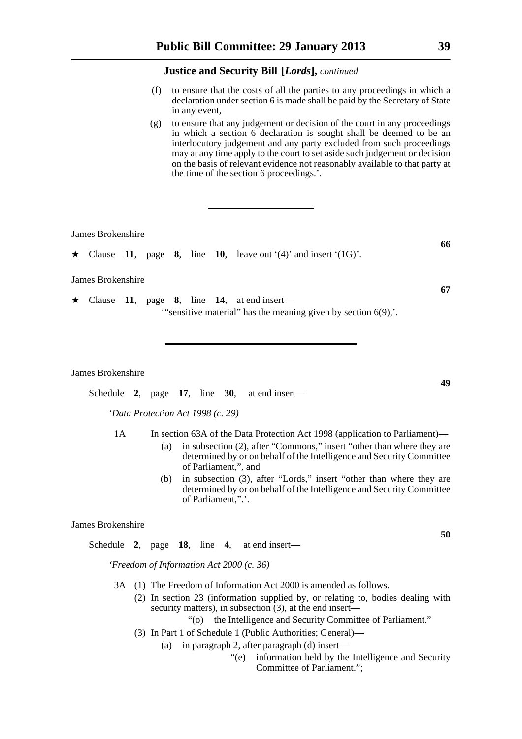- (f) to ensure that the costs of all the parties to any proceedings in which a declaration under section 6 is made shall be paid by the Secretary of State in any event,
- (g) to ensure that any judgement or decision of the court in any proceedings in which a section 6 declaration is sought shall be deemed to be an interlocutory judgement and any party excluded from such proceedings may at any time apply to the court to set aside such judgement or decision on the basis of relevant evidence not reasonably available to that party at the time of the section 6 proceedings.'.

James Brokenshire

 $\star$  Clause 11, page 8, line 10, leave out '(4)' and insert '(1G)'.

James Brokenshire

 $\star$  Clause 11, page 8, line 14, at end insert— '"sensitive material" has the meaning given by section 6(9),'.

James Brokenshire

Schedule **2**, page **17**, line **30**, at end insert—

*'Data Protection Act 1998 (c. 29)*

- 1A In section 63A of the Data Protection Act 1998 (application to Parliament)—
	- (a) in subsection (2), after "Commons," insert "other than where they are determined by or on behalf of the Intelligence and Security Committee of Parliament,", and
	- (b) in subsection (3), after "Lords," insert "other than where they are determined by or on behalf of the Intelligence and Security Committee of Parliament,".'.

#### James Brokenshire

Schedule **2**, page **18**, line **4**, at end insert—

*'Freedom of Information Act 2000 (c. 36)*

- 3A (1) The Freedom of Information Act 2000 is amended as follows.
	- (2) In section 23 (information supplied by, or relating to, bodies dealing with security matters), in subsection  $(3)$ , at the end insert—
		- "(o) the Intelligence and Security Committee of Parliament."
	- (3) In Part 1 of Schedule 1 (Public Authorities; General)—
		- (a) in paragraph 2, after paragraph (d) insert—
			- "(e) information held by the Intelligence and Security Committee of Parliament.";

**49**

**66**

**67**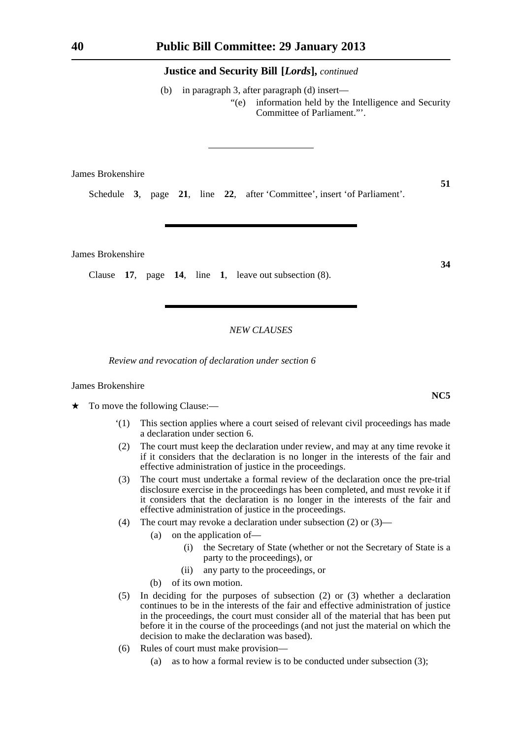(b) in paragraph 3, after paragraph (d) insert— "(e) information held by the Intelligence and Security Committee of Parliament."'.

James Brokenshire

Schedule **3**, page **21**, line **22**, after 'Committee', insert 'of Parliament'.

James Brokenshire

Clause **17**, page **14**, line **1**, leave out subsection (8).

## *NEW CLAUSES*

*Review and revocation of declaration under section 6*

#### James Brokenshire

- $\star$  To move the following Clause:—
	- '(1) This section applies where a court seised of relevant civil proceedings has made a declaration under section 6.
	- (2) The court must keep the declaration under review, and may at any time revoke it if it considers that the declaration is no longer in the interests of the fair and effective administration of justice in the proceedings.
	- (3) The court must undertake a formal review of the declaration once the pre-trial disclosure exercise in the proceedings has been completed, and must revoke it if it considers that the declaration is no longer in the interests of the fair and effective administration of justice in the proceedings.
	- (4) The court may revoke a declaration under subsection (2) or (3)—
		- (a) on the application of—
			- (i) the Secretary of State (whether or not the Secretary of State is a party to the proceedings), or
			- (ii) any party to the proceedings, or
		- (b) of its own motion.
	- (5) In deciding for the purposes of subsection (2) or (3) whether a declaration continues to be in the interests of the fair and effective administration of justice in the proceedings, the court must consider all of the material that has been put before it in the course of the proceedings (and not just the material on which the decision to make the declaration was based).
	- (6) Rules of court must make provision—
		- (a) as to how a formal review is to be conducted under subsection (3);

**51**

**34**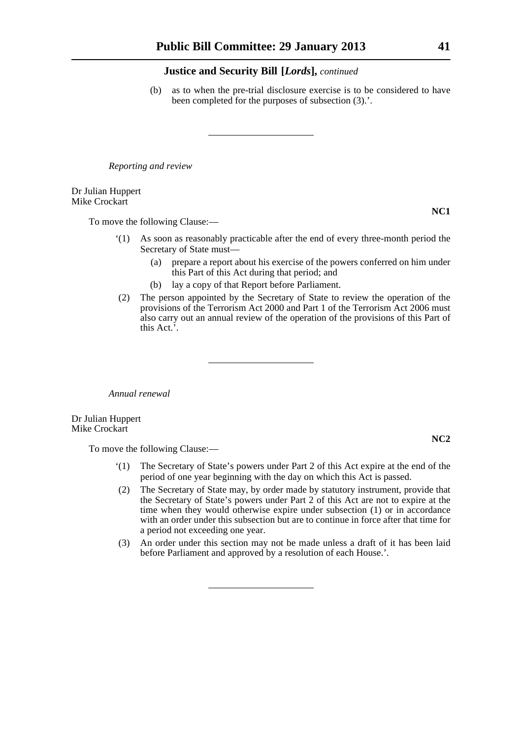(b) as to when the pre-trial disclosure exercise is to be considered to have been completed for the purposes of subsection (3).'.

*Reporting and review*

Dr Julian Huppert Mike Crockart

To move the following Clause:—

- '(1) As soon as reasonably practicable after the end of every three-month period the Secretary of State must—
	- (a) prepare a report about his exercise of the powers conferred on him under this Part of this Act during that period; and
	- (b) lay a copy of that Report before Parliament.
- (2) The person appointed by the Secretary of State to review the operation of the provisions of the Terrorism Act 2000 and Part 1 of the Terrorism Act 2006 must also carry out an annual review of the operation of the provisions of this Part of this Act.'.

*Annual renewal*

Dr Julian Huppert Mike Crockart

To move the following Clause:—

- '(1) The Secretary of State's powers under Part 2 of this Act expire at the end of the period of one year beginning with the day on which this Act is passed.
- (2) The Secretary of State may, by order made by statutory instrument, provide that the Secretary of State's powers under Part 2 of this Act are not to expire at the time when they would otherwise expire under subsection (1) or in accordance with an order under this subsection but are to continue in force after that time for a period not exceeding one year.
- (3) An order under this section may not be made unless a draft of it has been laid before Parliament and approved by a resolution of each House.'.

**NC1**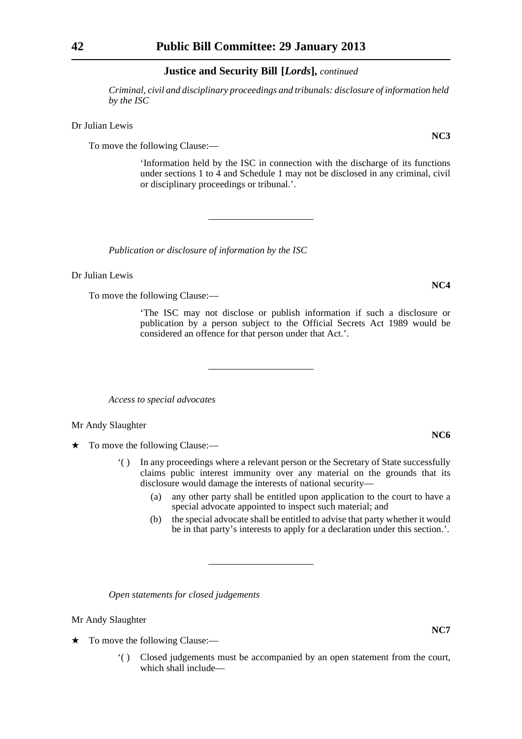*Criminal, civil and disciplinary proceedings and tribunals: disclosure of information held by the ISC*

Dr Julian Lewis

To move the following Clause:—

'Information held by the ISC in connection with the discharge of its functions under sections 1 to 4 and Schedule 1 may not be disclosed in any criminal, civil or disciplinary proceedings or tribunal.'.

*Publication or disclosure of information by the ISC*

Dr Julian Lewis

To move the following Clause:—

'The ISC may not disclose or publish information if such a disclosure or publication by a person subject to the Official Secrets Act 1989 would be considered an offence for that person under that Act.'.

*Access to special advocates*

Mr Andy Slaughter

 $\star$  To move the following Clause:—

- '( ) In any proceedings where a relevant person or the Secretary of State successfully claims public interest immunity over any material on the grounds that its disclosure would damage the interests of national security—
	- (a) any other party shall be entitled upon application to the court to have a special advocate appointed to inspect such material; and
	- (b) the special advocate shall be entitled to advise that party whether it would be in that party's interests to apply for a declaration under this section.'.

*Open statements for closed judgements*

Mr Andy Slaughter

- $\star$  To move the following Clause:—
	- '( ) Closed judgements must be accompanied by an open statement from the court, which shall include—

# **NC6**

**NC7**

**NC3**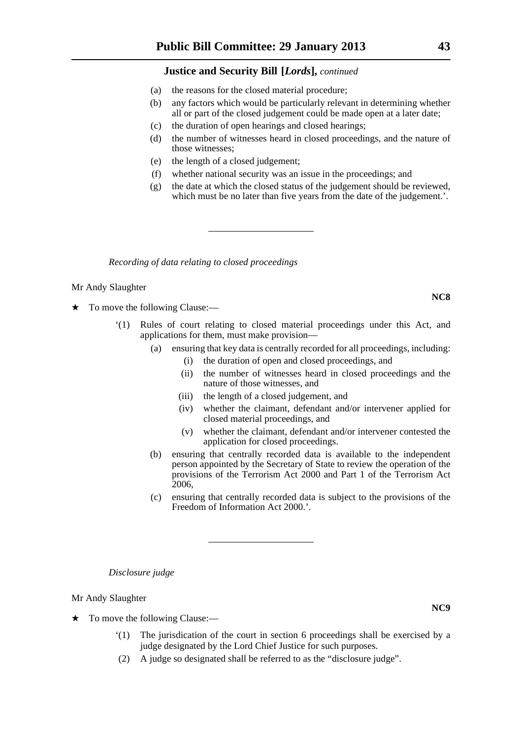- (a) the reasons for the closed material procedure;
- (b) any factors which would be particularly relevant in determining whether all or part of the closed judgement could be made open at a later date;
- (c) the duration of open hearings and closed hearings;
- (d) the number of witnesses heard in closed proceedings, and the nature of those witnesses;
- (e) the length of a closed judgement;
- (f) whether national security was an issue in the proceedings; and
- (g) the date at which the closed status of the judgement should be reviewed, which must be no later than five years from the date of the judgement.'.

*Recording of data relating to closed proceedings*

#### Mr Andy Slaughter

- To move the following Clause:—
	- '(1) Rules of court relating to closed material proceedings under this Act, and applications for them, must make provision—
		- (a) ensuring that key data is centrally recorded for all proceedings, including:
			- (i) the duration of open and closed proceedings, and
			- (ii) the number of witnesses heard in closed proceedings and the nature of those witnesses, and
			- (iii) the length of a closed judgement, and
			- (iv) whether the claimant, defendant and/or intervener applied for closed material proceedings, and
			- (v) whether the claimant, defendant and/or intervener contested the application for closed proceedings.
		- (b) ensuring that centrally recorded data is available to the independent person appointed by the Secretary of State to review the operation of the provisions of the Terrorism Act 2000 and Part 1 of the Terrorism Act 2006,
		- (c) ensuring that centrally recorded data is subject to the provisions of the Freedom of Information Act 2000.'.

*Disclosure judge*

Mr Andy Slaughter

- $\star$  To move the following Clause:—
	- The jurisdication of the court in section 6 proceedings shall be exercised by a judge designated by the Lord Chief Justice for such purposes.
	- (2) A judge so designated shall be referred to as the "disclosure judge".

**NC8**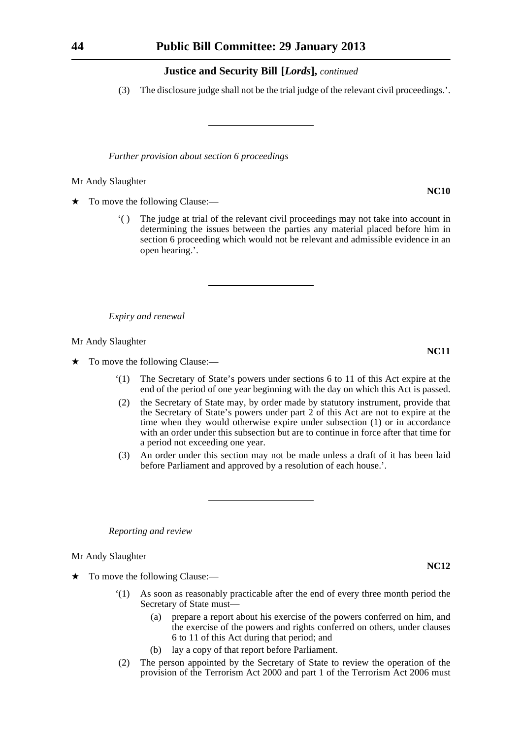(3) The disclosure judge shall not be the trial judge of the relevant civil proceedings.'.

*Further provision about section 6 proceedings*

Mr Andy Slaughter

To move the following Clause:—

'( ) The judge at trial of the relevant civil proceedings may not take into account in determining the issues between the parties any material placed before him in section 6 proceeding which would not be relevant and admissible evidence in an open hearing.'.

*Expiry and renewal*

Mr Andy Slaughter

 $\star$  To move the following Clause:—

- '(1) The Secretary of State's powers under sections 6 to 11 of this Act expire at the end of the period of one year beginning with the day on which this Act is passed.
- (2) the Secretary of State may, by order made by statutory instrument, provide that the Secretary of State's powers under part 2 of this Act are not to expire at the time when they would otherwise expire under subsection (1) or in accordance with an order under this subsection but are to continue in force after that time for a period not exceeding one year.
- (3) An order under this section may not be made unless a draft of it has been laid before Parliament and approved by a resolution of each house.'.

*Reporting and review*

Mr Andy Slaughter

 $\star$  To move the following Clause:—

- '(1) As soon as reasonably practicable after the end of every three month period the Secretary of State must—
	- (a) prepare a report about his exercise of the powers conferred on him, and the exercise of the powers and rights conferred on others, under clauses 6 to 11 of this Act during that period; and
	- (b) lay a copy of that report before Parliament.
- (2) The person appointed by the Secretary of State to review the operation of the provision of the Terrorism Act 2000 and part 1 of the Terrorism Act 2006 must

**NC10**

**NC11**